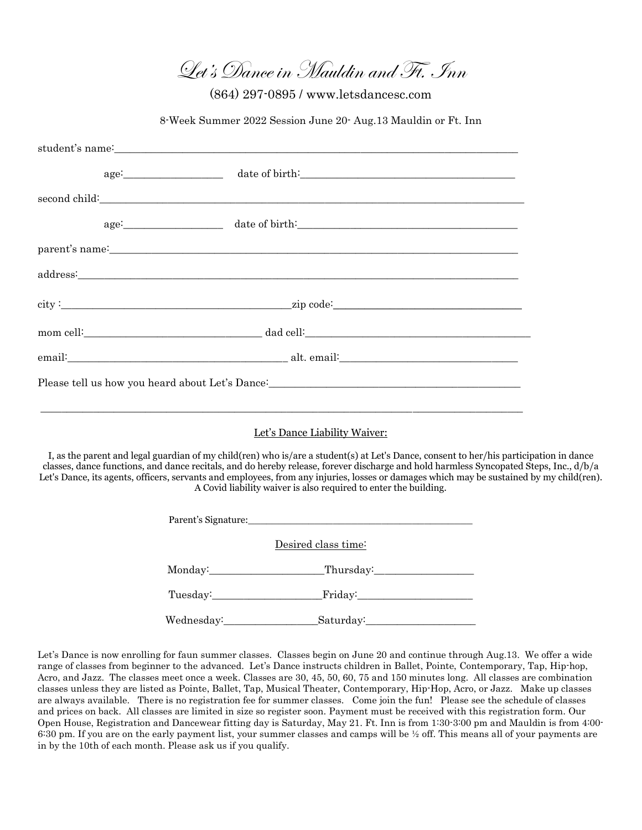Let's Dance in Mauldin and Ft. Inn

(864) 297-0895 / www.letsdancesc.com

8-Week Summer 2022 Session June 20- Aug.13 Mauldin or Ft. Inn

|                                                                                                                         | student's name: experience and the state of the state of the state of the state of the state of the state of the state of the state of the state of the state of the state of the state of the state of the state of the state |  |
|-------------------------------------------------------------------------------------------------------------------------|--------------------------------------------------------------------------------------------------------------------------------------------------------------------------------------------------------------------------------|--|
|                                                                                                                         |                                                                                                                                                                                                                                |  |
|                                                                                                                         |                                                                                                                                                                                                                                |  |
|                                                                                                                         |                                                                                                                                                                                                                                |  |
|                                                                                                                         |                                                                                                                                                                                                                                |  |
|                                                                                                                         | address: and the set of the set of the set of the set of the set of the set of the set of the set of the set of the set of the set of the set of the set of the set of the set of the set of the set of the set of the set of  |  |
|                                                                                                                         |                                                                                                                                                                                                                                |  |
|                                                                                                                         |                                                                                                                                                                                                                                |  |
|                                                                                                                         |                                                                                                                                                                                                                                |  |
|                                                                                                                         |                                                                                                                                                                                                                                |  |
|                                                                                                                         |                                                                                                                                                                                                                                |  |
| Let's Dance Liability Waiver:                                                                                           |                                                                                                                                                                                                                                |  |
| I, as the parent and legal guardian of my child(ren) who is/are a student(s) at Let's Dance, consent to her/his partici |                                                                                                                                                                                                                                |  |

ipation in dance classes, dance functions, and dance recitals, and do hereby release, forever discharge and hold harmless Syncopated Steps, Inc., d/b/a Let's Dance, its agents, officers, servants and employees, from any injuries, losses or damages which may be sustained by my child(ren). A Covid liability waiver is also required to enter the building.

|            | Desired class time:         |  |
|------------|-----------------------------|--|
|            | Monday: Thursday: Thursday: |  |
|            |                             |  |
| Wednesday: |                             |  |

Let's Dance is now enrolling for faun summer classes. Classes begin on June 20 and continue through Aug.13. We offer a wide range of classes from beginner to the advanced. Let's Dance instructs children in Ballet, Pointe, Contemporary, Tap, Hip-hop, Acro, and Jazz. The classes meet once a week. Classes are 30, 45, 50, 60, 75 and 150 minutes long. All classes are combination classes unless they are listed as Pointe, Ballet, Tap, Musical Theater, Contemporary, Hip-Hop, Acro, or Jazz. Make up classes are always available. There is no registration fee for summer classes. Come join the fun! Please see the schedule of classes and prices on back. All classes are limited in size so register soon. Payment must be received with this registration form. Our Open House, Registration and Dancewear fitting day is Saturday, May 21. Ft. Inn is from 1:30-3:00 pm and Mauldin is from 4:00- 6:30 pm. If you are on the early payment list, your summer classes and camps will be ½ off. This means all of your payments are in by the 10th of each month. Please ask us if you qualify.